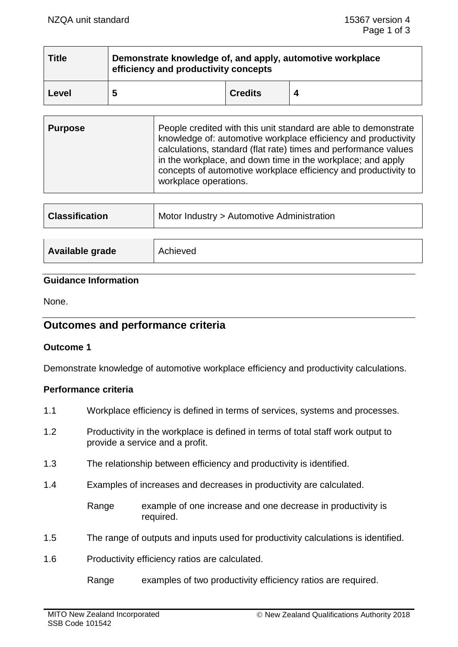| <b>Title</b> | Demonstrate knowledge of, and apply, automotive workplace<br>efficiency and productivity concepts |                |  |
|--------------|---------------------------------------------------------------------------------------------------|----------------|--|
| Level        | 5                                                                                                 | <b>Credits</b> |  |

| <b>Purpose</b> | People credited with this unit standard are able to demonstrate<br>knowledge of: automotive workplace efficiency and productivity<br>calculations, standard (flat rate) times and performance values<br>in the workplace, and down time in the workplace; and apply<br>concepts of automotive workplace efficiency and productivity to<br>workplace operations. |
|----------------|-----------------------------------------------------------------------------------------------------------------------------------------------------------------------------------------------------------------------------------------------------------------------------------------------------------------------------------------------------------------|
|                |                                                                                                                                                                                                                                                                                                                                                                 |

| <b>Classification</b> | Motor Industry > Automotive Administration |
|-----------------------|--------------------------------------------|
| Available grade       | Achieved                                   |

### **Guidance Information**

None.

# **Outcomes and performance criteria**

### **Outcome 1**

Demonstrate knowledge of automotive workplace efficiency and productivity calculations.

### **Performance criteria**

- 1.1 Workplace efficiency is defined in terms of services, systems and processes.
- 1.2 Productivity in the workplace is defined in terms of total staff work output to provide a service and a profit.
- 1.3 The relationship between efficiency and productivity is identified.
- 1.4 Examples of increases and decreases in productivity are calculated.
	- Range example of one increase and one decrease in productivity is required.
- 1.5 The range of outputs and inputs used for productivity calculations is identified.
- 1.6 Productivity efficiency ratios are calculated.
	- Range examples of two productivity efficiency ratios are required.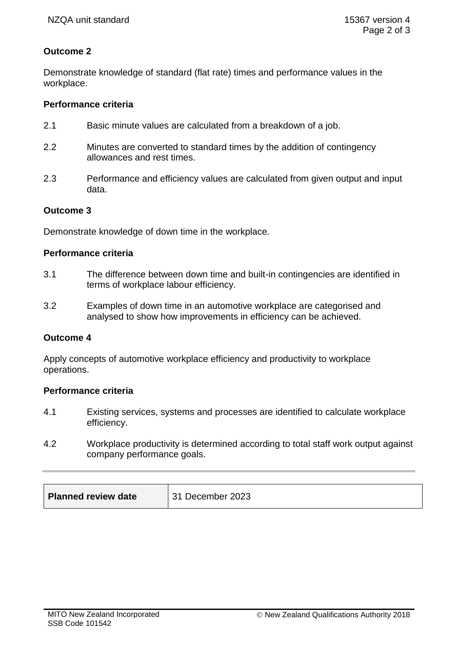## **Outcome 2**

Demonstrate knowledge of standard (flat rate) times and performance values in the workplace.

## **Performance criteria**

- 2.1 Basic minute values are calculated from a breakdown of a job.
- 2.2 Minutes are converted to standard times by the addition of contingency allowances and rest times.
- 2.3 Performance and efficiency values are calculated from given output and input data.

### **Outcome 3**

Demonstrate knowledge of down time in the workplace.

### **Performance criteria**

- 3.1 The difference between down time and built-in contingencies are identified in terms of workplace labour efficiency.
- 3.2 Examples of down time in an automotive workplace are categorised and analysed to show how improvements in efficiency can be achieved.

### **Outcome 4**

Apply concepts of automotive workplace efficiency and productivity to workplace operations.

### **Performance criteria**

- 4.1 Existing services, systems and processes are identified to calculate workplace efficiency.
- 4.2 Workplace productivity is determined according to total staff work output against company performance goals.

| <b>Planned review date</b><br>31 December 2023 |
|------------------------------------------------|
|------------------------------------------------|